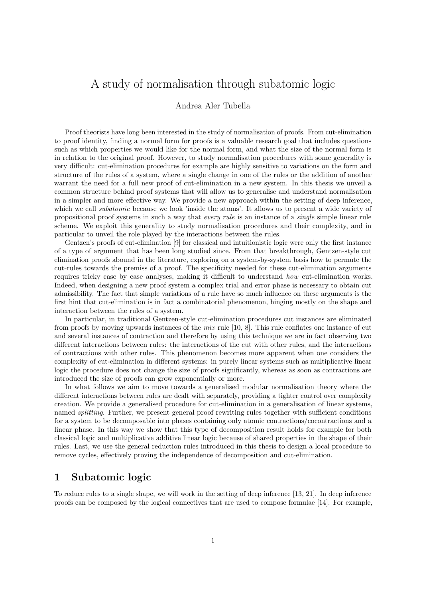# A study of normalisation through subatomic logic

#### Andrea Aler Tubella

Proof theorists have long been interested in the study of normalisation of proofs. From cut-elimination to proof identity, finding a normal form for proofs is a valuable research goal that includes questions such as which properties we would like for the normal form, and what the size of the normal form is in relation to the original proof. However, to study normalisation procedures with some generality is very difficult: cut-elimination procedures for example are highly sensitive to variations on the form and structure of the rules of a system, where a single change in one of the rules or the addition of another warrant the need for a full new proof of cut-elimination in a new system. In this thesis we unveil a common structure behind proof systems that will allow us to generalise and understand normalisation in a simpler and more effective way. We provide a new approach within the setting of deep inference, which we call *subatomic* because we look 'inside the atoms'. It allows us to present a wide variety of propositional proof systems in such a way that every rule is an instance of a single simple linear rule scheme. We exploit this generality to study normalisation procedures and their complexity, and in particular to unveil the role played by the interactions between the rules.

Gentzen's proofs of cut-elimination [\[9\]](#page-9-0) for classical and intuitionistic logic were only the first instance of a type of argument that has been long studied since. From that breakthrough, Gentzen-style cut elimination proofs abound in the literature, exploring on a system-by-system basis how to permute the cut-rules towards the premiss of a proof. The specificity needed for these cut-elimination arguments requires tricky case by case analyses, making it difficult to understand how cut-elimination works. Indeed, when designing a new proof system a complex trial and error phase is necessary to obtain cut admissibility. The fact that simple variations of a rule have so much influence on these arguments is the first hint that cut-elimination is in fact a combinatorial phenomenon, hinging mostly on the shape and interaction between the rules of a system.

In particular, in traditional Gentzen-style cut-elimination procedures cut instances are eliminated from proofs by moving upwards instances of the mix rule [\[10,](#page-9-1) [8\]](#page-9-2). This rule conflates one instance of cut and several instances of contraction and therefore by using this technique we are in fact observing two different interactions between rules: the interactions of the cut with other rules, and the interactions of contractions with other rules. This phenomenon becomes more apparent when one considers the complexity of cut-elimination in different systems: in purely linear systems such as multiplicative linear logic the procedure does not change the size of proofs significantly, whereas as soon as contractions are introduced the size of proofs can grow exponentially or more.

In what follows we aim to move towards a generalised modular normalisation theory where the different interactions between rules are dealt with separately, providing a tighter control over complexity creation. We provide a generalised procedure for cut-elimination in a generalisation of linear systems, named splitting. Further, we present general proof rewriting rules together with sufficient conditions for a system to be decomposable into phases containing only atomic contractions/cocontractions and a linear phase. In this way we show that this type of decomposition result holds for example for both classical logic and multiplicative additive linear logic because of shared properties in the shape of their rules. Last, we use the general reduction rules introduced in this thesis to design a local procedure to remove cycles, effectively proving the independence of decomposition and cut-elimination.

## 1 Subatomic logic

To reduce rules to a single shape, we will work in the setting of deep inference [\[13,](#page-9-3) [21\]](#page-9-4). In deep inference proofs can be composed by the logical connectives that are used to compose formulae [\[14\]](#page-9-5). For example,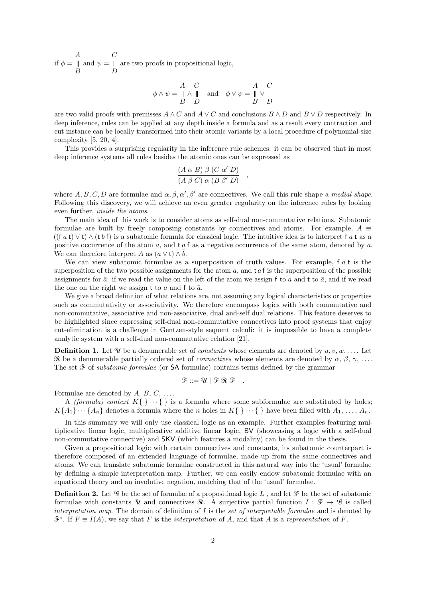if  $\phi =$ A B and  $\psi =$  $\mathcal{C}_{0}^{(n)}$ D are two proofs in propositional logic,

$$
\phi \land \psi = \begin{array}{cc} A & C \\ \parallel \land \parallel \\ B & D \end{array} \text{ and } \phi \lor \psi = \begin{array}{cc} A & C \\ \parallel \lor \parallel \\ B & D \end{array}
$$

are two valid proofs with premisses  $A \wedge C$  and  $A \vee C$  and conclusions  $B \wedge D$  and  $B \vee D$  respectively. In deep inference, rules can be applied at any depth inside a formula and as a result every contraction and cut instance can be locally transformed into their atomic variants by a local procedure of polynomial-size complexity [\[5,](#page-9-6) [20,](#page-9-7) [4\]](#page-9-8).

This provides a surprising regularity in the inference rule schemes: it can be observed that in most deep inference systems all rules besides the atomic ones can be expressed as

$$
\frac{(A \alpha B) \beta (C \alpha' D)}{(A \beta C) \alpha (B \beta' D)}
$$

,

where A, B, C, D are formulae and  $\alpha$ ,  $\beta$ ,  $\alpha'$ ,  $\beta'$  are connectives. We call this rule shape a *medial shape*. Following this discovery, we will achieve an even greater regularity on the inference rules by looking even further, inside the atoms.

The main idea of this work is to consider atoms as self-dual non-commutative relations. Subatomic formulae are built by freely composing constants by connectives and atoms. For example,  $A \equiv$  $((f a t) \vee t) \wedge (t b f)$  is a subatomic formula for classical logic. The intuitive idea is to interpret f a t as a positive occurrence of the atom a, and t a f as a negative occurrence of the same atom, denoted by  $\bar{a}$ . We can therefore interpret A as  $(a \vee t) \wedge \overline{b}$ .

We can view subatomic formulae as a superposition of truth values. For example,  $f a t$  is the superposition of the two possible assignments for the atom a, and  $t a f$  is the superposition of the possible assignments for  $\bar{a}$ : if we read the value on the left of the atom we assign f to a and t to  $\bar{a}$ , and if we read the one on the right we assign t to a and f to  $\bar{a}$ .

We give a broad definition of what relations are, not assuming any logical characteristics or properties such as commutativity or associativity. We therefore encompass logics with both commutative and non-commutative, associative and non-associative, dual and-self dual relations. This feature deserves to be highlighted since expressing self-dual non-commutative connectives into proof systems that enjoy cut-elimination is a challenge in Gentzen-style sequent calculi: it is impossible to have a complete analytic system with a self-dual non-commutative relation [\[21\]](#page-9-4).

**Definition 1.** Let U be a denumerable set of constants whose elements are denoted by  $u, v, w, \ldots$ . Let R be a denumerable partially ordered set of *connectives* whose elements are denoted by  $\alpha$ ,  $\beta$ ,  $\gamma$ , .... The set  $\mathcal F$  of *subatomic formulae* (or SA formulae) contains terms defined by the grammar

$$
\mathscr{F} ::= \mathscr{U} \mid \mathscr{F} \mathscr{R} \mathscr{F} \quad .
$$

Formulae are denoted by  $A, B, C, \ldots$ .

A *(formula)* context  $K\{\}\cdots\{\}\$ is a formula where some subformulae are substituted by holes;  $K\{A_1\}\cdots\{A_n\}$  denotes a formula where the n holes in  $K\{\}\cdots\{\}\$ have been filled with  $A_1,\ldots,A_n$ .

In this summary we will only use classical logic as an example. Further examples featuring multiplicative linear logic, multiplicative additive linear logic, BV (showcasing a logic with a self-dual non-commutative connective) and SKV (which features a modality) can be found in the thesis.

Given a propositional logic with certain connectives and constants, its subatomic counterpart is therefore composed of an extended language of formulae, made up from the same connectives and atoms. We can translate subatomic formulae constructed in this natural way into the 'usual' formulae by defining a simple interpretation map. Further, we can easily endow subatomic formulae with an equational theory and an involutive negation, matching that of the 'usual' formulae.

**Definition 2.** Let  $\mathscr G$  be the set of formulae of a propositional logic L, and let  $\mathscr F$  be the set of subatomic formulae with constants U and connectives R. A surjective partial function  $I : \mathcal{F} \to \mathcal{G}$  is called interpretation map. The domain of definition of  $I$  is the set of interpretable formulae and is denoted by  $\mathcal{F}^i$ . If  $F \equiv I(A)$ , we say that F is the *interpretation* of A, and that A is a representation of F.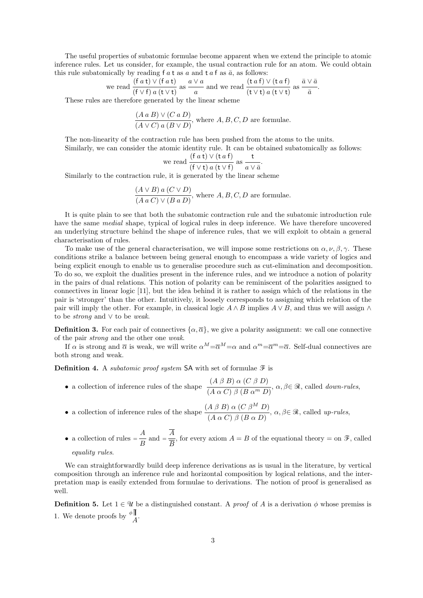The useful properties of subatomic formulae become apparent when we extend the principle to atomic inference rules. Let us consider, for example, the usual contraction rule for an atom. We could obtain this rule subatomically by reading f  $a$  t as  $a$  and t  $a$  f as  $\bar{a}$ , as follows:

we read 
$$
\frac{(f a t) \vee (f a t)}{(f \vee f) a (t \vee t)}
$$
 as  $\frac{a \vee a}{a}$  and we read  $\frac{(t a f) \vee (t a f)}{(t \vee t) a (t \vee t)}$  as  $\frac{\bar{a} \vee \bar{a}}{\bar{a}}$ .

These rules are therefore generated by the linear scheme

$$
\frac{(A \, a \, B) \vee (C \, a \, D)}{(A \vee C) \, a \, (B \vee D)},
$$
 where  $A, B, C, D$  are formulae.

The non-linearity of the contraction rule has been pushed from the atoms to the units.

Similarly, we can consider the atomic identity rule. It can be obtained subatomically as follows:  $(f \circ h) \vee (h \circ f)$ 

we read 
$$
\frac{(\text{f } a \text{ t}) \vee (\text{t } a \text{ f})}{(\text{f } \vee \text{t}) a (\text{t } \vee \text{f})}
$$
 as  $\frac{\text{t}}{a \vee \overline{a}}$ .

Similarly to the contraction rule, it is generated by the linear scheme

$$
\frac{(A \vee B) a (C \vee D)}{(A a C) \vee (B a D)},
$$
 where A, B, C, D are formulae.

It is quite plain to see that both the subatomic contraction rule and the subatomic introduction rule have the same *medial* shape, typical of logical rules in deep inference. We have therefore uncovered an underlying structure behind the shape of inference rules, that we will exploit to obtain a general characterisation of rules.

To make use of the general characterisation, we will impose some restrictions on  $\alpha, \nu, \beta, \gamma$ . These conditions strike a balance between being general enough to encompass a wide variety of logics and being explicit enough to enable us to generalise procedure such as cut-elimination and decomposition. To do so, we exploit the dualities present in the inference rules, and we introduce a notion of polarity in the pairs of dual relations. This notion of polarity can be reminiscent of the polarities assigned to connectives in linear logic [\[11\]](#page-9-9), but the idea behind it is rather to assign which of the relations in the pair is 'stronger' than the other. Intuitively, it loosely corresponds to assigning which relation of the pair will imply the other. For example, in classical logic  $A \wedge B$  implies  $A \vee B$ , and thus we will assign  $\wedge$ to be strong and ∨ to be weak.

**Definition 3.** For each pair of connectives  $\{\alpha, \overline{\alpha}\}\)$ , we give a polarity assignment: we call one connective of the pair strong and the other one weak.

If  $\alpha$  is strong and  $\overline{\alpha}$  is weak, we will write  $\alpha^M = \overline{\alpha}^M = \alpha$  and  $\alpha^m = \overline{\alpha}^m = \overline{\alpha}$ . Self-dual connectives are both strong and weak.

**Definition 4.** A *subatomic proof system* SA with set of formulae  $\mathcal{F}$  is

- a collection of inference rules of the shape  $\frac{(A \beta B) \alpha (C \beta D)}{(A + C) \alpha (B + C)}$  $\overline{(A \alpha C) \beta (B \alpha^{m} D)}$ ,  $\alpha, \beta \in \mathcal{R}$ , called *down-rules*,
- a collection of inference rules of the shape  $\frac{(A \beta B) \alpha (C \beta^M D)}{(A \beta C) \beta (B \beta D)}$  $\overline{(A \alpha C) \beta (B \alpha D)}$ ,  $\alpha, \beta \in \mathcal{R}$ , called up-rules,
- a collection of rules  $=\frac{A}{B}$  and  $=\frac{A}{\overline{B}}$ , for every axiom  $A = B$  of the equational theory  $=\text{on } \mathcal{F}$ , called

equality rules.

We can straightforwardly build deep inference derivations as is usual in the literature, by vertical composition through an inference rule and horizontal composition by logical relations, and the interpretation map is easily extended from formulae to derivations. The notion of proof is generalised as well.

**Definition 5.** Let  $1 \in \mathcal{U}$  be a distinguished constant. A *proof* of A is a derivation  $\phi$  whose premiss is 1. We denote proofs by  $\frac{\phi \parallel}{A}$ .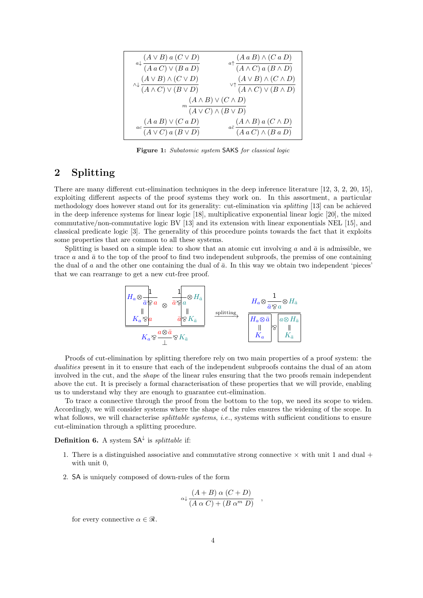<span id="page-3-0"></span>

| $\label{eq:2} {a}{\downarrow} \frac{(A \lor B)\; a\; (C \lor D)}{(A\; a\; C) \lor (B\; a\; D)}$ | $\mathop{\curvearrowleft} \nolimits^{\mathop{\curvearrowleft}}(A\mathop{\curvearrowright} B) \wedge (C\mathop{\curvearrowright} D) \\ \hline (A \wedge C) \mathop{\curvearrowright} (B \wedge D)$ |
|-------------------------------------------------------------------------------------------------|---------------------------------------------------------------------------------------------------------------------------------------------------------------------------------------------------|
| $\wedge \downarrow \frac{(A \vee B) \wedge (C \vee D)}{(A \wedge C) \vee (B \vee D)}$           | $\vee \uparrow \frac{(A \vee B) \wedge (C \wedge D)}{(A \wedge C) \vee (B \wedge D)}$                                                                                                             |
| $(A \wedge B) \vee (C \wedge D)$                                                                |                                                                                                                                                                                                   |
| $\sqrt[n]{(A \vee C) \wedge (B \vee D)}$                                                        |                                                                                                                                                                                                   |
| $(A \, a \, B) \vee (C \, a \, D)$<br>$ac \over (A \vee C) a (B \vee D)$                        | $\label{eq:adot} {}_{a\bar{c}}\frac{(A\wedge B)\:a\:(C\wedge D)}{(A\:a\:C)\wedge(B\:a\:D)}$                                                                                                       |

Figure 1: Subatomic system SAKS for classical logic

## 2 Splitting

There are many different cut-elimination techniques in the deep inference literature [\[12,](#page-9-10) [3,](#page-9-11) [2,](#page-9-12) [20,](#page-9-7) [15\]](#page-9-13), exploiting different aspects of the proof systems they work on. In this assortment, a particular methodology does however stand out for its generality: cut-elimination via splitting [\[13\]](#page-9-3) can be achieved in the deep inference systems for linear logic [\[18\]](#page-9-14), multiplicative exponential linear logic [\[20\]](#page-9-7), the mixed commutative/non-commutative logic BV [\[13\]](#page-9-3) and its extension with linear exponentials NEL [\[15\]](#page-9-13), and classical predicate logic [\[3\]](#page-9-11). The generality of this procedure points towards the fact that it exploits some properties that are common to all these systems.

Splitting is based on a simple idea: to show that an atomic cut involving a and  $\bar{a}$  is admissible, we trace a and  $\bar{a}$  to the top of the proof to find two independent subproofs, the premiss of one containing the dual of  $a$  and the other one containing the dual of  $\bar{a}$ . In this way we obtain two independent 'pieces' that we can rearrange to get a new cut-free proof.



Proofs of cut-elimination by splitting therefore rely on two main properties of a proof system: the dualities present in it to ensure that each of the independent subproofs contains the dual of an atom involved in the cut, and the shape of the linear rules ensuring that the two proofs remain independent above the cut. It is precisely a formal characterisation of these properties that we will provide, enabling us to understand why they are enough to guarantee cut-elimination.

To trace a connective through the proof from the bottom to the top, we need its scope to widen. Accordingly, we will consider systems where the shape of the rules ensures the widening of the scope. In what follows, we will characterise *splittable systems*, *i.e.*, systems with sufficient conditions to ensure cut-elimination through a splitting procedure.

#### **Definition 6.** A system  $SA^{\downarrow}$  is *splittable* if:

- 1. There is a distinguished associative and commutative strong connective  $\times$  with unit 1 and dual + with unit 0,
- 2. SA is uniquely composed of down-rules of the form

$$
\alpha \downarrow \frac{(A+B) \alpha (C+D)}{(A \alpha C) + (B \alpha^m D)}
$$

,

for every connective  $\alpha \in \mathcal{R}$ .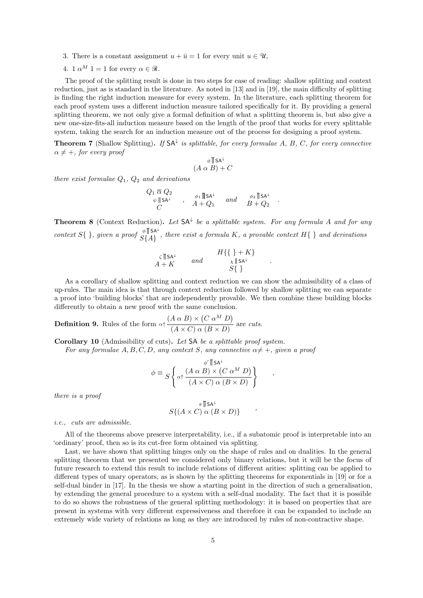- 3. There is a constant assignment  $u + \bar{u} = 1$  for every unit  $u \in \mathcal{U}$ ,
- 4.  $1 \alpha^M$  1 = 1 for every  $\alpha \in \mathcal{R}$ .

The proof of the splitting result is done in two steps for ease of reading: shallow splitting and context reduction, just as is standard in the literature. As noted in [\[13\]](#page-9-3) and in [\[19\]](#page-9-15), the main difficulty of splitting is finding the right induction measure for every system. In the literature, each splitting theorem for each proof system uses a different induction measure tailored specifically for it. By providing a general splitting theorem, we not only give a formal definition of what a splitting theorem is, but also give a new one-size-fits-all induction measure based on the length of the proof that works for every splittable system, taking the search for an induction measure out of the process for designing a proof system.

**Theorem 7** (Shallow Splitting). If  $SA^{\downarrow}$  is splittable, for every formulae A, B, C, for every connective  $\alpha \neq +$ , for every proof

$$
\phi \parallel \mathsf{SA}^{\downarrow}
$$
  

$$
(A \alpha B) + C
$$

there exist formulae  $Q_1$ ,  $Q_2$  and derivations

$$
\begin{array}{ccc}\nQ_1 \overline{\alpha} Q_2\\
\psi \parallel \mathsf{SA}^{\downarrow} \\
C\n\end{array}\n\quad ,\n\begin{array}{ccc}\n\phi_1 \parallel \mathsf{SA}^{\downarrow} \\
A + Q_1\n\end{array}\n\quad and \quad\n\begin{array}{ccc}\n\phi_2 \parallel \mathsf{SA}^{\downarrow} \\
B + Q_2\n\end{array}
$$

.

.

,

,

**Theorem 8** (Context Reduction). Let  $SA^{\downarrow}$  be a splittable system. For any formula A and for any context  $S\{\}\$ , given a proof  $\int_{S\{A\}}^{\phi\|\,S^{A^{\perp}}\}$ , there exist a formula K, a provable context  $H\{\}\$  and derivations

$$
\begin{array}{ccc}\n\zeta \parallel \mathsf{SA}^{\downarrow} & \text{and} & H\{\}\} + K \\
A + K & \text{and} & \zeta \parallel \mathsf{SA}^{\downarrow} \\
S\{\}\n\end{array}
$$

As a corollary of shallow splitting and context reduction we can show the admissibility of a class of up-rules. The main idea is that through context reduction followed by shallow splitting we can separate a proof into 'building blocks' that are independently provable. We then combine these building blocks differently to obtain a new proof with the same conclusion.

**Definition 9.** Rules of the form 
$$
\alpha \uparrow \frac{(A \alpha B) \times (C \alpha^M D)}{(A \times C) \alpha (B \times D)}
$$
 are *cuts.*

Corollary 10 (Admissibility of cuts). Let SA be a splittable proof system.

For any formulae  $A, B, C, D$ , any context S, any connective  $\alpha \neq +$ , given a proof

$$
\phi \equiv \frac{\phi' \parallel \text{SA}^{\perp}}{S \left\{ \alpha \uparrow \frac{(A \alpha B) \times (C \alpha^M D)}{(A \times C) \alpha (B \times D)} \right\}}
$$

there is a proof

$$
S\{(A \times C) \alpha (B \times D)\}
$$

i.e., cuts are admissible.

All of the theorems above preserve interpretability, i.e., if a subatomic proof is interpretable into an 'ordinary' proof, then so is its cut-free form obtained via splitting.

Last, we have shown that splitting hinges only on the shape of rules and on dualities. In the general splitting theorem that we presented we considered only binary relations, but it will be the focus of future research to extend this result to include relations of different arities: splitting can be applied to different types of unary operators, as is shown by the splitting theorems for exponentials in [\[19\]](#page-9-15) or for a self-dual binder in [\[17\]](#page-9-16). In the thesis we show a starting point in the direction of such a generalisation, by extending the general procedure to a system with a self-dual modality. The fact that it is possible to do so shows the robustness of the general splitting methodology: it is based on properties that are present in systems with very different expressiveness and therefore it can be expanded to include an extremely wide variety of relations as long as they are introduced by rules of non-contractive shape.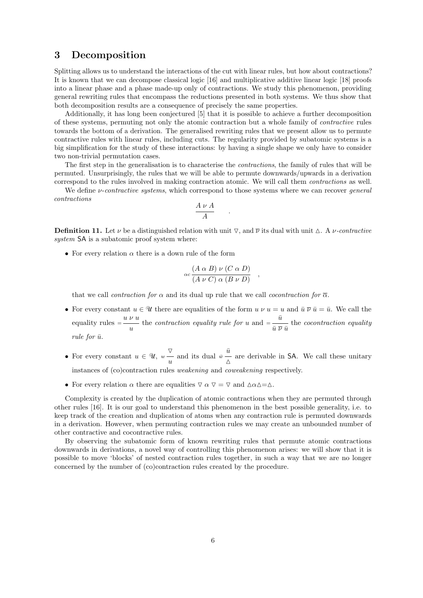## 3 Decomposition

Splitting allows us to understand the interactions of the cut with linear rules, but how about contractions? It is known that we can decompose classical logic [\[16\]](#page-9-17) and multiplicative additive linear logic [\[18\]](#page-9-14) proofs into a linear phase and a phase made-up only of contractions. We study this phenomenon, providing general rewriting rules that encompass the reductions presented in both systems. We thus show that both decomposition results are a consequence of precisely the same properties.

Additionally, it has long been conjectured [\[5\]](#page-9-6) that it is possible to achieve a further decomposition of these systems, permuting not only the atomic contraction but a whole family of contractive rules towards the bottom of a derivation. The generalised rewriting rules that we present allow us to permute contractive rules with linear rules, including cuts. The regularity provided by subatomic systems is a big simplification for the study of these interactions: by having a single shape we only have to consider two non-trivial permutation cases.

The first step in the generalisation is to characterise the contractions, the family of rules that will be permuted. Unsurprisingly, the rules that we will be able to permute downwards/upwards in a derivation correspond to the rules involved in making contraction atomic. We will call them contractions as well.

We define  $\nu$ -contractive systems, which correspond to those systems where we can recover general contractions

$$
\frac{A \nu A}{A}
$$

.

**Definition 11.** Let  $\nu$  be a distinguished relation with unit  $\nabla$ , and  $\overline{\nu}$  its dual with unit  $\Delta$ . A  $\nu$ -contractive system SA is a subatomic proof system where:

• For every relation  $\alpha$  there is a down rule of the form

$$
\alpha c \frac{(A \alpha B) \nu (C \alpha D)}{(A \nu C) \alpha (B \nu D)},
$$

that we call *contraction for*  $\alpha$  and its dual up rule that we call *cocontraction for*  $\overline{\alpha}$ .

- For every constant  $u \in \mathcal{U}$  there are equalities of the form  $u \nu u = u$  and  $\bar{u} \overline{\nu} \bar{u} = \bar{u}$ . We call the equality rules  $=\frac{u \nu u}{u}$  the *contraction equality rule for*  $u$  and  $=\frac{\bar{u}}{\bar{u} \bar{v} \bar{u}}$  the *cocontraction equality* rule for  $\bar{u}$ .
- For every constant  $u \in \mathcal{U}$ ,  $\overline{\nabla}$  $w \frac{\nabla}{u}$  and its dual  $\bar{w} \frac{\bar{u}}{\Delta}$  are derivable in SA. We call these unitary
- instances of (co)contraction rules weakening and coweakening respectively.
- For every relation  $\alpha$  there are equalities  $\nabla \alpha \nabla = \nabla$  and  $\Delta \alpha \Delta = \Delta$ .

Complexity is created by the duplication of atomic contractions when they are permuted through other rules [\[16\]](#page-9-17). It is our goal to understand this phenomenon in the best possible generality, i.e. to keep track of the creation and duplication of atoms when any contraction rule is permuted downwards in a derivation. However, when permuting contraction rules we may create an unbounded number of other contractive and cocontractive rules.

By observing the subatomic form of known rewriting rules that permute atomic contractions downwards in derivations, a novel way of controlling this phenomenon arises: we will show that it is possible to move 'blocks' of nested contraction rules together, in such a way that we are no longer concerned by the number of (co)contraction rules created by the procedure.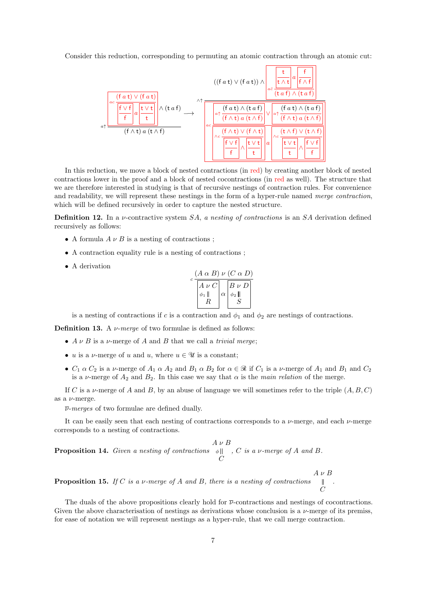Consider this reduction, corresponding to permuting an atomic contraction through an atomic cut:



In this reduction, we move a block of nested contractions (in red) by creating another block of nested contractions lower in the proof and a block of nested cocontractions (in red as well). The structure that we are therefore interested in studying is that of recursive nestings of contraction rules. For convenience and readability, we will represent these nestings in the form of a hyper-rule named merge contraction, which will be defined recursively in order to capture the nested structure.

**Definition 12.** In a *v*-contractive system  $SA$ , *a nesting of contractions* is an  $SA$  derivation defined recursively as follows:

- A formula  $A \nu B$  is a nesting of contractions:
- A contraction equality rule is a nesting of contractions ;
- A derivation

$$
c \frac{(A \alpha B) \nu (C \alpha D)}{\begin{vmatrix} A \nu C \\ \phi_1 \parallel \\ R \end{vmatrix} \alpha \begin{vmatrix} B \nu D \\ \phi_2 \parallel \\ S \end{vmatrix}}
$$

is a nesting of contractions if c is a contraction and  $\phi_1$  and  $\phi_2$  are nestings of contractions.

**Definition 13.** A  $\nu$ -merge of two formulae is defined as follows:

- $A \nu B$  is a  $\nu$ -merge of A and B that we call a *trivial merge*:
- u is a v-merge of u and u, where  $u \in \mathcal{U}$  is a constant;
- $C_1 \alpha C_2$  is a v-merge of  $A_1 \alpha A_2$  and  $B_1 \alpha B_2$  for  $\alpha \in \mathcal{R}$  if  $C_1$  is a v-merge of  $A_1$  and  $B_1$  and  $C_2$ is a  $\nu$ -merge of  $A_2$  and  $B_2$ . In this case we say that  $\alpha$  is the main relation of the merge.

If C is a v-merge of A and B, by an abuse of language we will sometimes refer to the triple  $(A, B, C)$ as a  $\nu$ -merge.

 $\overline{\nu}$ -merges of two formulae are defined dually.

It can be easily seen that each nesting of contractions corresponds to a  $\nu$ -merge, and each  $\nu$ -merge corresponds to a nesting of contractions.

**Proposition 14.** Given a nesting of contractions  $\phi$  ||, C is a v-merge of A and B.  $A \nu B$  $\mathcal{C}_{0}^{(n)}$ 

 $A \nu B$ **Proposition 15.** If C is a v-merge of A and B, there is a nesting of contractions  $\mathbb{L}$  $\mathcal{C}$ 

The duals of the above propositions clearly hold for  $\bar{\nu}$ -contractions and nestings of cocontractions. Given the above characterisation of nestings as derivations whose conclusion is a  $\nu$ -merge of its premiss, for ease of notation we will represent nestings as a hyper-rule, that we call merge contraction.

.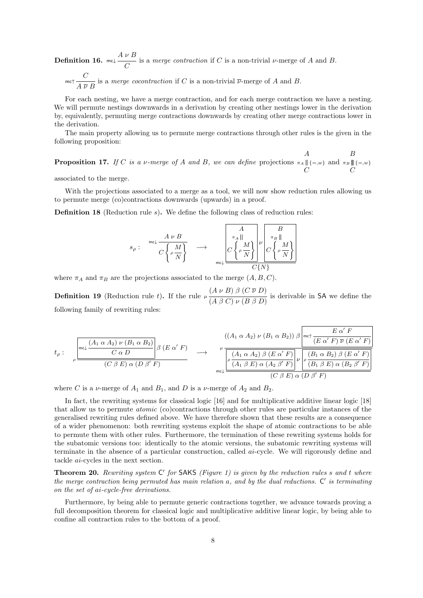**Definition 16.**  $mc \downarrow \frac{A \nu B}{C}$  is a *merge contraction* if C is a non-trivial  $\nu$ -merge of A and B. mc  $\frac{C}{A \overline{V} B}$  is a *merge cocontraction* if C is a non-trivial  $\overline{\nu}$ -merge of A and B.

For each nesting, we have a merge contraction, and for each merge contraction we have a nesting. We will permute nestings downwards in a derivation by creating other nestings lower in the derivation by, equivalently, permuting merge contractions downwards by creating other merge contractions lower in the derivation.

The main property allowing us to permute merge contractions through other rules is the given in the following proposition:

**Proposition 17.** If C is a v-merge of A and B, we can define projections A  $\pi_A \parallel \{=,w\}$  $\mathcal{C}_{0}^{(n)}$ and B  $\pi_B$   $\vert \vert \, \{ = , w \}$  $\mathcal{C}$ 

associated to the merge.

With the projections associated to a merge as a tool, we will now show reduction rules allowing us to permute merge (co)contractions downwards (upwards) in a proof.

Definition 18 (Reduction rule s). We define the following class of reduction rules:

$$
s_{\rho}: \begin{array}{c} \mathsf{mc}\downarrow \frac{A \nu B}{C\left\{\rho \frac{M}{N}\right\}} \\ \end{array} \longrightarrow \begin{array}{c} \begin{array}{c} A \\ \pi_A \parallel \\ C\left\{\rho \frac{M}{N}\right\} \end{array} \end{array} \begin{array}{c} \begin{array}{c} B \\ \pi_B \parallel \\ C\left\{\rho \frac{M}{N}\right\} \end{array} \end{array}
$$

where  $\pi_A$  and  $\pi_B$  are the projections associated to the merge  $(A, B, C)$ .

**Definition 19** (Reduction rule t). If the rule  $\mu \frac{(A \nu B) \beta (C \overline{\nu} D)}{(A \beta C) \nu (B \beta D)}$  is derivable in SA we define the following family of rewriting rules:

$$
t_{\rho} : \left[\begin{array}{c} \begin{matrix} \begin{array}{c} \begin{array}{c} \begin{array}{c} \begin{array}{c} \begin{array}{c} \begin{array}{c} \begin{array}{c} \begin{array}{c} \end{array} \\ \end{array} \\ \end{array} \\ \hline \begin{array}{c} \begin{array}{c} \end{array} \\ \end{array} \\ \end{array} \\ \end{matrix} \\ \end{array} \\ \hline \begin{matrix} \begin{array}{c} \begin{array}{c} \begin{array}{c} \begin{array}{c} \end{array} \\ \end{array} \\ \end{array} \\ \end{array} \\ \end{array} \\ \end{array} \\ \hline \begin{array}{c} \begin{array}{c} \begin{array}{c} \begin{array}{c} \begin{array}{c} \end{array} \\ \end{array} \\ \end{array} \\ \end{array} \\ \end{array} \\ \hline \begin{array}{c} \begin{array}{c} \begin{array}{c} \begin{array}{c} \end{array} \\ \end{array} \\ \end{array} \\ \end{array} \\ \end{array} \\ \hline \begin{array}{c} \begin{array}{c} \begin{array}{c} \begin{array}{c} \end{array} \\ \end{array} \\ \end{array} \\ \hline \begin{array}{c} \begin{array}{c} \begin{array}{c} \end{array} \\ \end{array} \\ \end{array} \\ \end{array} \\ \end{array} \\ \end{array} \\ \hline \begin{array}{c} \begin{array}{c} \begin{array}{c} \end{array} \\ \end{array} \\ \end{array} \\ \hline \begin{array}{c} \begin{array}{c} \begin{array}{c} \end{array} \\ \end{array} \\ \end{array} \\ \hline \begin{array}{c} \begin{array}{c} \begin{array}{c} \end{array} \\ \end{array} \\ \end{array} \\ \hline \begin{array}{c} \begin{array}{c} \end{array} \\ \end{array} \\ \end{array} \\ \hline \begin{array}{c} \begin{array}{c} \end{array} \\ \end{array} \\ \hline \begin{array}{c} \begin{array}{c} \end{array} \\ \end{array} \\ \hline \begin{array}{c} \begin{array}{c} \end{array} \\ \end{array} \\ \hline \end{array} \\ \hline \begin{array}{c} \begin{array}{c} \begin{array}{c} \end{array} \\ \end{array} \\ \hline \begin{array} \end{array} \\ \
$$

where C is a  $\nu$ -merge of  $A_1$  and  $B_1$ , and D is a  $\nu$ -merge of  $A_2$  and  $B_2$ .

In fact, the rewriting systems for classical logic [\[16\]](#page-9-17) and for multiplicative additive linear logic [\[18\]](#page-9-14) that allow us to permute atomic (co)contractions through other rules are particular instances of the generalised rewriting rules defined above. We have therefore shown that these results are a consequence of a wider phenomenon: both rewriting systems exploit the shape of atomic contractions to be able to permute them with other rules. Furthermore, the termination of these rewriting systems holds for the subatomic versions too: identically to the atomic versions, the subatomic rewriting systems will terminate in the absence of a particular construction, called ai-cycle. We will rigorously define and tackle ai-cycles in the next section.

**Theorem 20.** Rewriting system  $C'$  for SAKS (Figure [1\)](#page-3-0) is given by the reduction rules s and t where the merge contraction being permuted has main relation  $a$ , and by the dual reductions.  $C'$  is terminating on the set of ai-cycle-free derivations.

Furthermore, by being able to permute generic contractions together, we advance towards proving a full decomposition theorem for classical logic and multiplicative additive linear logic, by being able to confine all contraction rules to the bottom of a proof.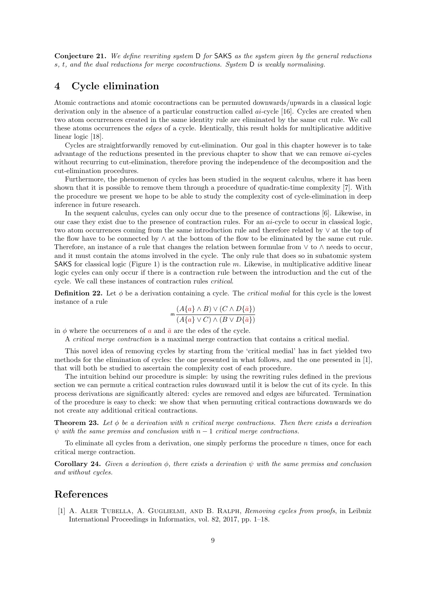Conjecture 21. We define rewriting system D for SAKS as the system given by the general reductions s, t, and the dual reductions for merge cocontractions. System D is weakly normalising.

## 4 Cycle elimination

Atomic contractions and atomic cocontractions can be permuted downwards/upwards in a classical logic derivation only in the absence of a particular construction called ai-cycle [\[16\]](#page-9-17). Cycles are created when two atom occurrences created in the same identity rule are eliminated by the same cut rule. We call these atoms occurrences the edges of a cycle. Identically, this result holds for multiplicative additive linear logic [\[18\]](#page-9-14).

Cycles are straightforwardly removed by cut-elimination. Our goal in this chapter however is to take advantage of the reductions presented in the previous chapter to show that we can remove ai-cycles without recurring to cut-elimination, therefore proving the independence of the decomposition and the cut-elimination procedures.

Furthermore, the phenomenon of cycles has been studied in the sequent calculus, where it has been shown that it is possible to remove them through a procedure of quadratic-time complexity [\[7\]](#page-9-18). With the procedure we present we hope to be able to study the complexity cost of cycle-elimination in deep inference in future research.

In the sequent calculus, cycles can only occur due to the presence of contractions [\[6\]](#page-9-19). Likewise, in our case they exist due to the presence of contraction rules. For an ai-cycle to occur in classical logic, two atom occurrences coming from the same introduction rule and therefore related by ∨ at the top of the flow have to be connected by ∧ at the bottom of the flow to be eliminated by the same cut rule. Therefore, an instance of a rule that changes the relation between formulae from ∨ to ∧ needs to occur, and it must contain the atoms involved in the cycle. The only rule that does so in subatomic system SAKS for classical logic (Figure [1\)](#page-3-0) is the contraction rule  $m$ . Likewise, in multiplicative additive linear logic cycles can only occur if there is a contraction rule between the introduction and the cut of the cycle. We call these instances of contraction rules critical.

**Definition 22.** Let  $\phi$  be a derivation containing a cycle. The *critical medial* for this cycle is the lowest instance of a rule

$$
\mathsf{m}\frac{(A\{a\}\wedge B)\vee(C\wedge D\{\bar{a}\})}{(A\{a\}\vee C)\wedge(B\vee D\{\bar{a}\})}
$$

in  $\phi$  where the occurrences of a and  $\bar{a}$  are the edes of the cycle.

A critical merge contraction is a maximal merge contraction that contains a critical medial.

This novel idea of removing cycles by starting from the 'critical medial' has in fact yielded two methods for the elimination of cycles: the one presented in what follows, and the one presented in [\[1\]](#page-8-0), that will both be studied to ascertain the complexity cost of each procedure.

The intuition behind our procedure is simple: by using the rewriting rules defined in the previous section we can permute a critical contraction rules downward until it is below the cut of its cycle. In this process derivations are significantly altered: cycles are removed and edges are bifurcated. Termination of the procedure is easy to check: we show that when permuting critical contractions downwards we do not create any additional critical contractions.

**Theorem 23.** Let  $\phi$  be a derivation with n critical merge contractions. Then there exists a derivation  $\psi$  with the same premiss and conclusion with n − 1 critical merge contractions.

To eliminate all cycles from a derivation, one simply performs the procedure n times, once for each critical merge contraction.

**Corollary 24.** Given a derivation  $\phi$ , there exists a derivation  $\psi$  with the same premiss and conclusion and without cycles.

### References

<span id="page-8-0"></span>[1] A. ALER TUBELLA, A. GUGLIELMI, AND B. RALPH, Removing cycles from proofs, in Leibniz International Proceedings in Informatics, vol. 82, 2017, pp. 1–18.